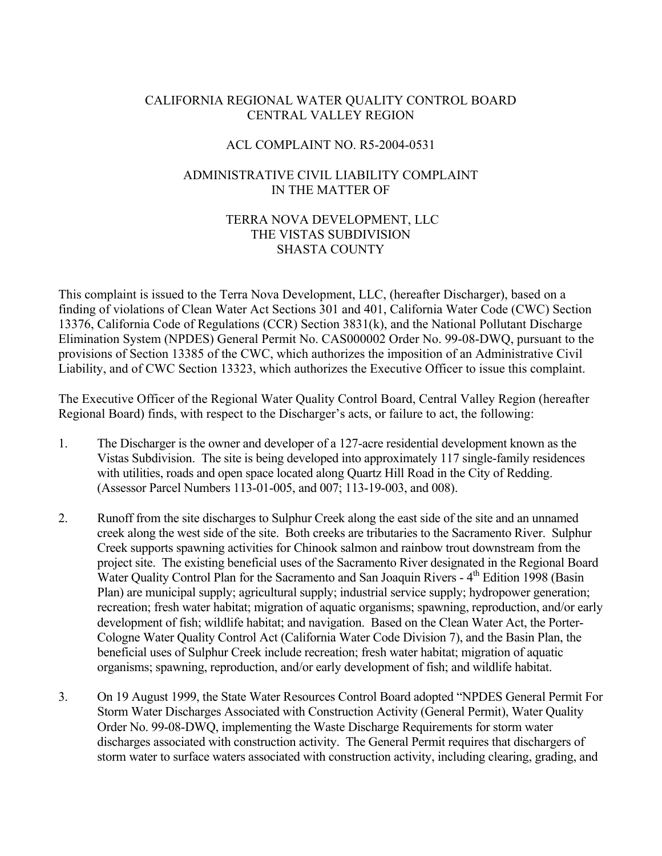## CALIFORNIA REGIONAL WATER QUALITY CONTROL BOARD CENTRAL VALLEY REGION

## ACL COMPLAINT NO. R5-2004-0531

# ADMINISTRATIVE CIVIL LIABILITY COMPLAINT IN THE MATTER OF

## TERRA NOVA DEVELOPMENT, LLC THE VISTAS SUBDIVISION SHASTA COUNTY

This complaint is issued to the Terra Nova Development, LLC, (hereafter Discharger), based on a finding of violations of Clean Water Act Sections 301 and 401, California Water Code (CWC) Section 13376, California Code of Regulations (CCR) Section 3831(k), and the National Pollutant Discharge Elimination System (NPDES) General Permit No. CAS000002 Order No. 99-08-DWQ, pursuant to the provisions of Section 13385 of the CWC, which authorizes the imposition of an Administrative Civil Liability, and of CWC Section 13323, which authorizes the Executive Officer to issue this complaint.

The Executive Officer of the Regional Water Quality Control Board, Central Valley Region (hereafter Regional Board) finds, with respect to the Discharger's acts, or failure to act, the following:

- 1. The Discharger is the owner and developer of a 127-acre residential development known as the Vistas Subdivision. The site is being developed into approximately 117 single-family residences with utilities, roads and open space located along Quartz Hill Road in the City of Redding. (Assessor Parcel Numbers 113-01-005, and 007; 113-19-003, and 008).
- 2. Runoff from the site discharges to Sulphur Creek along the east side of the site and an unnamed creek along the west side of the site. Both creeks are tributaries to the Sacramento River. Sulphur Creek supports spawning activities for Chinook salmon and rainbow trout downstream from the project site. The existing beneficial uses of the Sacramento River designated in the Regional Board Water Quality Control Plan for the Sacramento and San Joaquin Rivers - 4<sup>th</sup> Edition 1998 (Basin Plan) are municipal supply; agricultural supply; industrial service supply; hydropower generation; recreation; fresh water habitat; migration of aquatic organisms; spawning, reproduction, and/or early development of fish; wildlife habitat; and navigation. Based on the Clean Water Act, the Porter-Cologne Water Quality Control Act (California Water Code Division 7), and the Basin Plan, the beneficial uses of Sulphur Creek include recreation; fresh water habitat; migration of aquatic organisms; spawning, reproduction, and/or early development of fish; and wildlife habitat.
- 3. On 19 August 1999, the State Water Resources Control Board adopted "NPDES General Permit For Storm Water Discharges Associated with Construction Activity (General Permit), Water Quality Order No. 99-08-DWQ, implementing the Waste Discharge Requirements for storm water discharges associated with construction activity. The General Permit requires that dischargers of storm water to surface waters associated with construction activity, including clearing, grading, and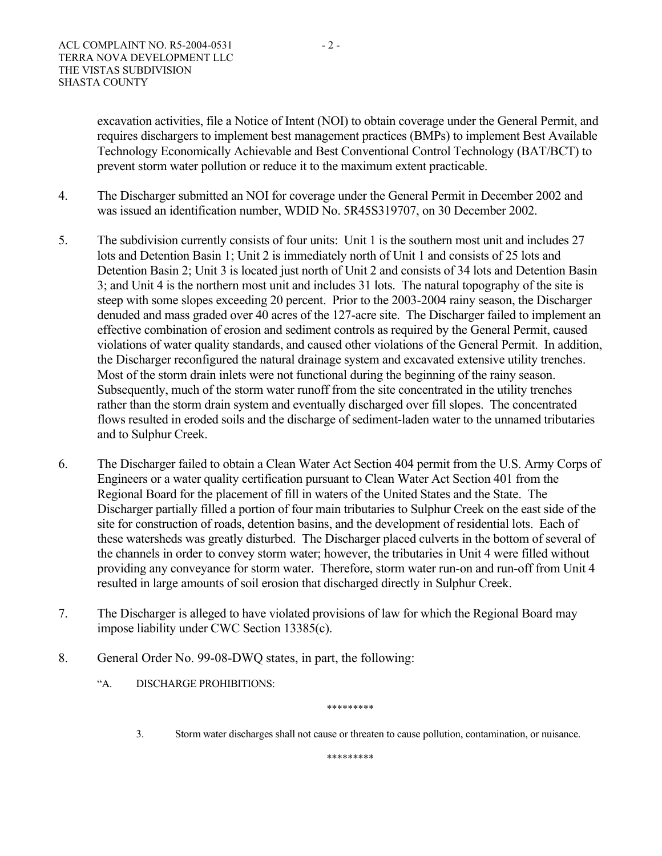excavation activities, file a Notice of Intent (NOI) to obtain coverage under the General Permit, and requires dischargers to implement best management practices (BMPs) to implement Best Available Technology Economically Achievable and Best Conventional Control Technology (BAT/BCT) to prevent storm water pollution or reduce it to the maximum extent practicable.

- 4. The Discharger submitted an NOI for coverage under the General Permit in December 2002 and was issued an identification number, WDID No. 5R45S319707, on 30 December 2002.
- 5. The subdivision currently consists of four units: Unit 1 is the southern most unit and includes 27 lots and Detention Basin 1; Unit 2 is immediately north of Unit 1 and consists of 25 lots and Detention Basin 2; Unit 3 is located just north of Unit 2 and consists of 34 lots and Detention Basin 3; and Unit 4 is the northern most unit and includes 31 lots. The natural topography of the site is steep with some slopes exceeding 20 percent. Prior to the 2003-2004 rainy season, the Discharger denuded and mass graded over 40 acres of the 127-acre site. The Discharger failed to implement an effective combination of erosion and sediment controls as required by the General Permit, caused violations of water quality standards, and caused other violations of the General Permit. In addition, the Discharger reconfigured the natural drainage system and excavated extensive utility trenches. Most of the storm drain inlets were not functional during the beginning of the rainy season. Subsequently, much of the storm water runoff from the site concentrated in the utility trenches rather than the storm drain system and eventually discharged over fill slopes. The concentrated flows resulted in eroded soils and the discharge of sediment-laden water to the unnamed tributaries and to Sulphur Creek.
- 6. The Discharger failed to obtain a Clean Water Act Section 404 permit from the U.S. Army Corps of Engineers or a water quality certification pursuant to Clean Water Act Section 401 from the Regional Board for the placement of fill in waters of the United States and the State. The Discharger partially filled a portion of four main tributaries to Sulphur Creek on the east side of the site for construction of roads, detention basins, and the development of residential lots. Each of these watersheds was greatly disturbed. The Discharger placed culverts in the bottom of several of the channels in order to convey storm water; however, the tributaries in Unit 4 were filled without providing any conveyance for storm water. Therefore, storm water run-on and run-off from Unit 4 resulted in large amounts of soil erosion that discharged directly in Sulphur Creek.
- 7. The Discharger is alleged to have violated provisions of law for which the Regional Board may impose liability under CWC Section 13385(c).
- 8. General Order No. 99-08-DWQ states, in part, the following:
	- "A. DISCHARGE PROHIBITIONS:
		- 3. Storm water discharges shall not cause or threaten to cause pollution, contamination, or nuisance.

\*\*\*\*\*\*\*\*\*

\*\*\*\*\*\*\*\*\*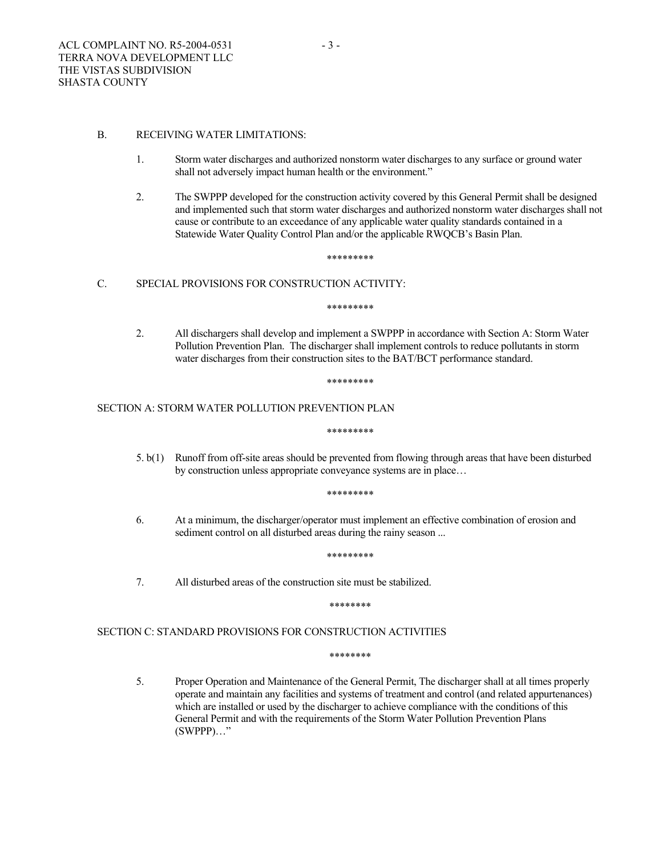### B. RECEIVING WATER LIMITATIONS:

- 1. Storm water discharges and authorized nonstorm water discharges to any surface or ground water shall not adversely impact human health or the environment."
- 2. The SWPPP developed for the construction activity covered by this General Permit shall be designed and implemented such that storm water discharges and authorized nonstorm water discharges shall not cause or contribute to an exceedance of any applicable water quality standards contained in a Statewide Water Quality Control Plan and/or the applicable RWQCB's Basin Plan.

\*\*\*\*\*\*\*\*\*

## C. SPECIAL PROVISIONS FOR CONSTRUCTION ACTIVITY:

\*\*\*\*\*\*\*\*\*

2. All dischargers shall develop and implement a SWPPP in accordance with Section A: Storm Water Pollution Prevention Plan. The discharger shall implement controls to reduce pollutants in storm water discharges from their construction sites to the BAT/BCT performance standard.

\*\*\*\*\*\*\*\*\*

### SECTION A: STORM WATER POLLUTION PREVENTION PLAN

\*\*\*\*\*\*\*\*\*

5. b(1) Runoff from off-site areas should be prevented from flowing through areas that have been disturbed by construction unless appropriate conveyance systems are in place…

\*\*\*\*\*\*\*\*\*

6. At a minimum, the discharger/operator must implement an effective combination of erosion and sediment control on all disturbed areas during the rainy season ...

\*\*\*\*\*\*\*\*\*

7. All disturbed areas of the construction site must be stabilized.

\*\*\*\*\*\*\*\*

## SECTION C: STANDARD PROVISIONS FOR CONSTRUCTION ACTIVITIES

\*\*\*\*\*\*\*\*

5. Proper Operation and Maintenance of the General Permit, The discharger shall at all times properly operate and maintain any facilities and systems of treatment and control (and related appurtenances) which are installed or used by the discharger to achieve compliance with the conditions of this General Permit and with the requirements of the Storm Water Pollution Prevention Plans (SWPPP)…"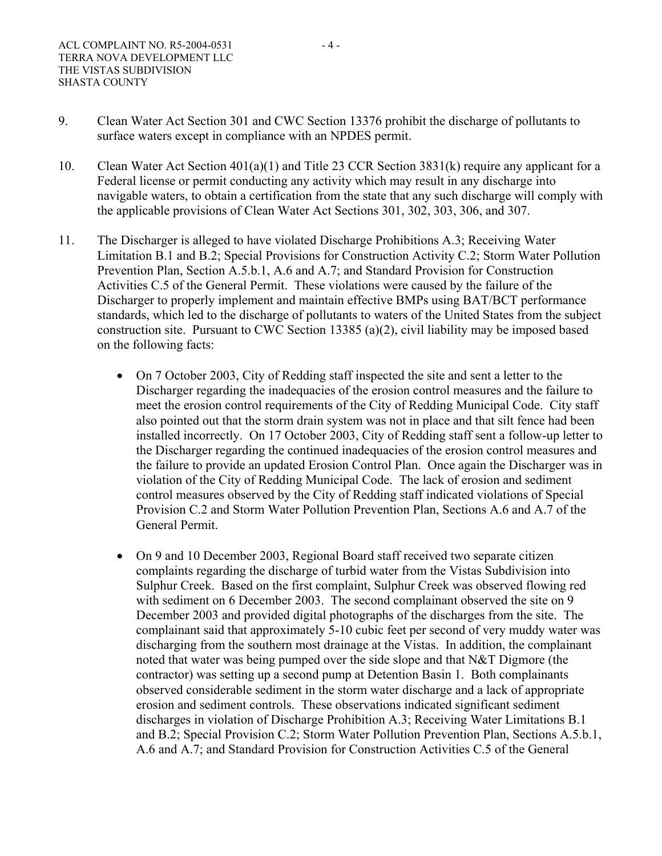- 9. Clean Water Act Section 301 and CWC Section 13376 prohibit the discharge of pollutants to surface waters except in compliance with an NPDES permit.
- 10. Clean Water Act Section 401(a)(1) and Title 23 CCR Section 3831(k) require any applicant for a Federal license or permit conducting any activity which may result in any discharge into navigable waters, to obtain a certification from the state that any such discharge will comply with the applicable provisions of Clean Water Act Sections 301, 302, 303, 306, and 307.
- 11. The Discharger is alleged to have violated Discharge Prohibitions A.3; Receiving Water Limitation B.1 and B.2; Special Provisions for Construction Activity C.2; Storm Water Pollution Prevention Plan, Section A.5.b.1, A.6 and A.7; and Standard Provision for Construction Activities C.5 of the General Permit. These violations were caused by the failure of the Discharger to properly implement and maintain effective BMPs using BAT/BCT performance standards, which led to the discharge of pollutants to waters of the United States from the subject construction site. Pursuant to CWC Section 13385 (a)(2), civil liability may be imposed based on the following facts:
	- On 7 October 2003, City of Redding staff inspected the site and sent a letter to the Discharger regarding the inadequacies of the erosion control measures and the failure to meet the erosion control requirements of the City of Redding Municipal Code. City staff also pointed out that the storm drain system was not in place and that silt fence had been installed incorrectly. On 17 October 2003, City of Redding staff sent a follow-up letter to the Discharger regarding the continued inadequacies of the erosion control measures and the failure to provide an updated Erosion Control Plan. Once again the Discharger was in violation of the City of Redding Municipal Code. The lack of erosion and sediment control measures observed by the City of Redding staff indicated violations of Special Provision C.2 and Storm Water Pollution Prevention Plan, Sections A.6 and A.7 of the General Permit.
	- On 9 and 10 December 2003, Regional Board staff received two separate citizen complaints regarding the discharge of turbid water from the Vistas Subdivision into Sulphur Creek. Based on the first complaint, Sulphur Creek was observed flowing red with sediment on 6 December 2003. The second complainant observed the site on 9 December 2003 and provided digital photographs of the discharges from the site. The complainant said that approximately 5-10 cubic feet per second of very muddy water was discharging from the southern most drainage at the Vistas. In addition, the complainant noted that water was being pumped over the side slope and that N&T Digmore (the contractor) was setting up a second pump at Detention Basin 1. Both complainants observed considerable sediment in the storm water discharge and a lack of appropriate erosion and sediment controls. These observations indicated significant sediment discharges in violation of Discharge Prohibition A.3; Receiving Water Limitations B.1 and B.2; Special Provision C.2; Storm Water Pollution Prevention Plan, Sections A.5.b.1, A.6 and A.7; and Standard Provision for Construction Activities C.5 of the General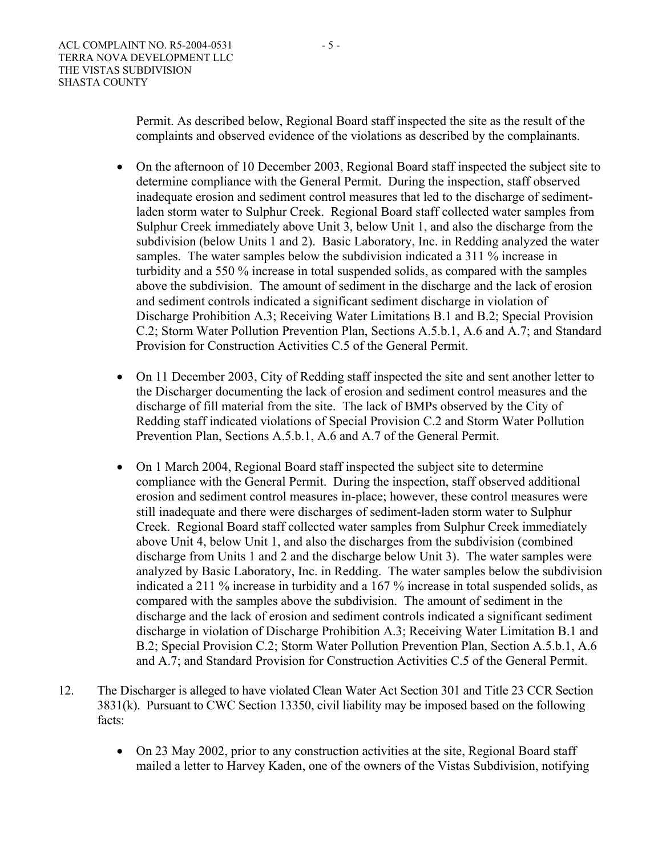Permit. As described below, Regional Board staff inspected the site as the result of the complaints and observed evidence of the violations as described by the complainants.

- On the afternoon of 10 December 2003, Regional Board staff inspected the subject site to determine compliance with the General Permit. During the inspection, staff observed inadequate erosion and sediment control measures that led to the discharge of sedimentladen storm water to Sulphur Creek. Regional Board staff collected water samples from Sulphur Creek immediately above Unit 3, below Unit 1, and also the discharge from the subdivision (below Units 1 and 2). Basic Laboratory, Inc. in Redding analyzed the water samples. The water samples below the subdivision indicated a 311 % increase in turbidity and a 550 % increase in total suspended solids, as compared with the samples above the subdivision. The amount of sediment in the discharge and the lack of erosion and sediment controls indicated a significant sediment discharge in violation of Discharge Prohibition A.3; Receiving Water Limitations B.1 and B.2; Special Provision C.2; Storm Water Pollution Prevention Plan, Sections A.5.b.1, A.6 and A.7; and Standard Provision for Construction Activities C.5 of the General Permit.
- On 11 December 2003, City of Redding staff inspected the site and sent another letter to the Discharger documenting the lack of erosion and sediment control measures and the discharge of fill material from the site. The lack of BMPs observed by the City of Redding staff indicated violations of Special Provision C.2 and Storm Water Pollution Prevention Plan, Sections A.5.b.1, A.6 and A.7 of the General Permit.
- On 1 March 2004, Regional Board staff inspected the subject site to determine compliance with the General Permit. During the inspection, staff observed additional erosion and sediment control measures in-place; however, these control measures were still inadequate and there were discharges of sediment-laden storm water to Sulphur Creek. Regional Board staff collected water samples from Sulphur Creek immediately above Unit 4, below Unit 1, and also the discharges from the subdivision (combined discharge from Units 1 and 2 and the discharge below Unit 3). The water samples were analyzed by Basic Laboratory, Inc. in Redding. The water samples below the subdivision indicated a 211 % increase in turbidity and a 167 % increase in total suspended solids, as compared with the samples above the subdivision. The amount of sediment in the discharge and the lack of erosion and sediment controls indicated a significant sediment discharge in violation of Discharge Prohibition A.3; Receiving Water Limitation B.1 and B.2; Special Provision C.2; Storm Water Pollution Prevention Plan, Section A.5.b.1, A.6 and A.7; and Standard Provision for Construction Activities C.5 of the General Permit.
- 12. The Discharger is alleged to have violated Clean Water Act Section 301 and Title 23 CCR Section 3831(k). Pursuant to CWC Section 13350, civil liability may be imposed based on the following facts:
	- On 23 May 2002, prior to any construction activities at the site, Regional Board staff mailed a letter to Harvey Kaden, one of the owners of the Vistas Subdivision, notifying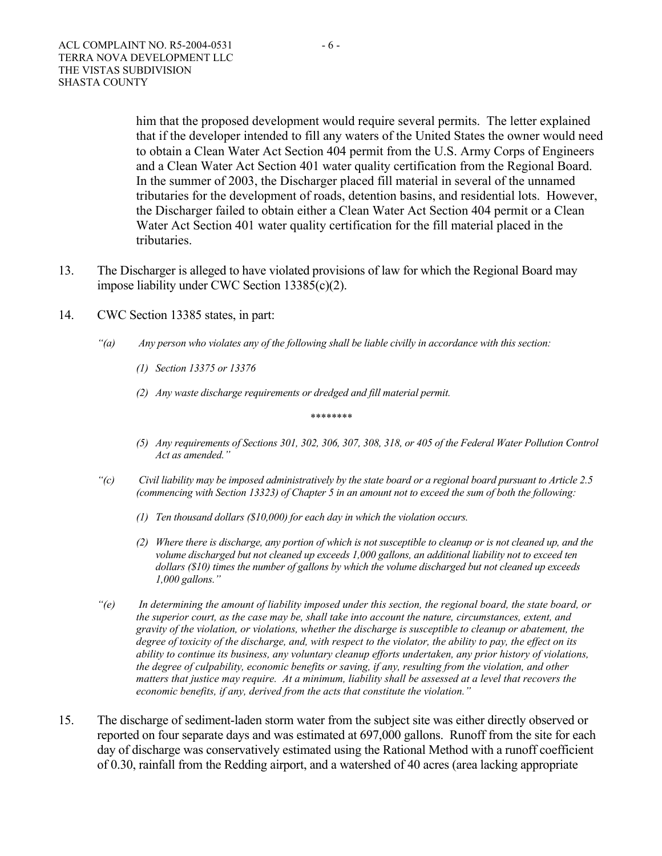him that the proposed development would require several permits. The letter explained that if the developer intended to fill any waters of the United States the owner would need to obtain a Clean Water Act Section 404 permit from the U.S. Army Corps of Engineers and a Clean Water Act Section 401 water quality certification from the Regional Board. In the summer of 2003, the Discharger placed fill material in several of the unnamed tributaries for the development of roads, detention basins, and residential lots. However, the Discharger failed to obtain either a Clean Water Act Section 404 permit or a Clean Water Act Section 401 water quality certification for the fill material placed in the tributaries.

- 13. The Discharger is alleged to have violated provisions of law for which the Regional Board may impose liability under CWC Section 13385(c)(2).
- 14. CWC Section 13385 states, in part:
	- *"(a) Any person who violates any of the following shall be liable civilly in accordance with this section:* 
		- *(1) Section 13375 or 13376*
		- *(2) Any waste discharge requirements or dredged and fill material permit.*

*\*\*\*\*\*\*\*\** 

- *(5) Any requirements of Sections 301, 302, 306, 307, 308, 318, or 405 of the Federal Water Pollution Control Act as amended."*
- *"(c) Civil liability may be imposed administratively by the state board or a regional board pursuant to Article 2.5 (commencing with Section 13323) of Chapter 5 in an amount not to exceed the sum of both the following:* 
	- *(1) Ten thousand dollars (\$10,000) for each day in which the violation occurs.*
	- *(2) Where there is discharge, any portion of which is not susceptible to cleanup or is not cleaned up, and the volume discharged but not cleaned up exceeds 1,000 gallons, an additional liability not to exceed ten dollars (\$10) times the number of gallons by which the volume discharged but not cleaned up exceeds 1,000 gallons."*
- *"(e) In determining the amount of liability imposed under this section, the regional board, the state board, or the superior court, as the case may be, shall take into account the nature, circumstances, extent, and gravity of the violation, or violations, whether the discharge is susceptible to cleanup or abatement, the degree of toxicity of the discharge, and, with respect to the violator, the ability to pay, the effect on its ability to continue its business, any voluntary cleanup efforts undertaken, any prior history of violations, the degree of culpability, economic benefits or saving, if any, resulting from the violation, and other matters that justice may require. At a minimum, liability shall be assessed at a level that recovers the economic benefits, if any, derived from the acts that constitute the violation."*
- 15. The discharge of sediment-laden storm water from the subject site was either directly observed or reported on four separate days and was estimated at 697,000 gallons. Runoff from the site for each day of discharge was conservatively estimated using the Rational Method with a runoff coefficient of 0.30, rainfall from the Redding airport, and a watershed of 40 acres (area lacking appropriate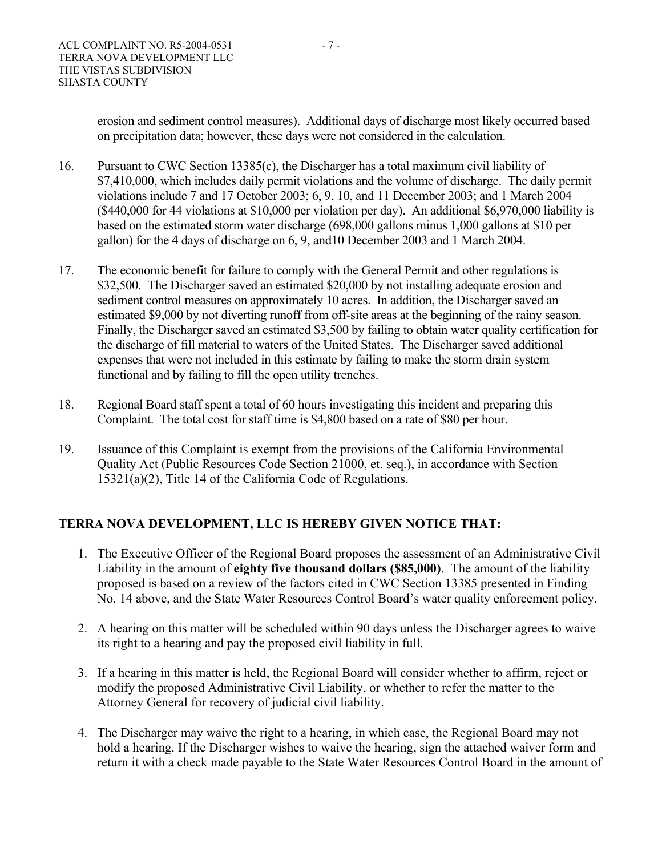erosion and sediment control measures). Additional days of discharge most likely occurred based on precipitation data; however, these days were not considered in the calculation.

- 16. Pursuant to CWC Section 13385(c), the Discharger has a total maximum civil liability of \$7,410,000, which includes daily permit violations and the volume of discharge. The daily permit violations include 7 and 17 October 2003; 6, 9, 10, and 11 December 2003; and 1 March 2004 (\$440,000 for 44 violations at \$10,000 per violation per day). An additional \$6,970,000 liability is based on the estimated storm water discharge (698,000 gallons minus 1,000 gallons at \$10 per gallon) for the 4 days of discharge on 6, 9, and10 December 2003 and 1 March 2004.
- 17. The economic benefit for failure to comply with the General Permit and other regulations is \$32,500. The Discharger saved an estimated \$20,000 by not installing adequate erosion and sediment control measures on approximately 10 acres. In addition, the Discharger saved an estimated \$9,000 by not diverting runoff from off-site areas at the beginning of the rainy season. Finally, the Discharger saved an estimated \$3,500 by failing to obtain water quality certification for the discharge of fill material to waters of the United States. The Discharger saved additional expenses that were not included in this estimate by failing to make the storm drain system functional and by failing to fill the open utility trenches.
- 18. Regional Board staff spent a total of 60 hours investigating this incident and preparing this Complaint. The total cost for staff time is \$4,800 based on a rate of \$80 per hour.
- 19. Issuance of this Complaint is exempt from the provisions of the California Environmental Quality Act (Public Resources Code Section 21000, et. seq.), in accordance with Section 15321(a)(2), Title 14 of the California Code of Regulations.

# **TERRA NOVA DEVELOPMENT, LLC IS HEREBY GIVEN NOTICE THAT:**

- 1. The Executive Officer of the Regional Board proposes the assessment of an Administrative Civil Liability in the amount of **eighty five thousand dollars (\$85,000)**. The amount of the liability proposed is based on a review of the factors cited in CWC Section 13385 presented in Finding No. 14 above, and the State Water Resources Control Board's water quality enforcement policy.
- 2. A hearing on this matter will be scheduled within 90 days unless the Discharger agrees to waive its right to a hearing and pay the proposed civil liability in full.
- 3. If a hearing in this matter is held, the Regional Board will consider whether to affirm, reject or modify the proposed Administrative Civil Liability, or whether to refer the matter to the Attorney General for recovery of judicial civil liability.
- 4. The Discharger may waive the right to a hearing, in which case, the Regional Board may not hold a hearing. If the Discharger wishes to waive the hearing, sign the attached waiver form and return it with a check made payable to the State Water Resources Control Board in the amount of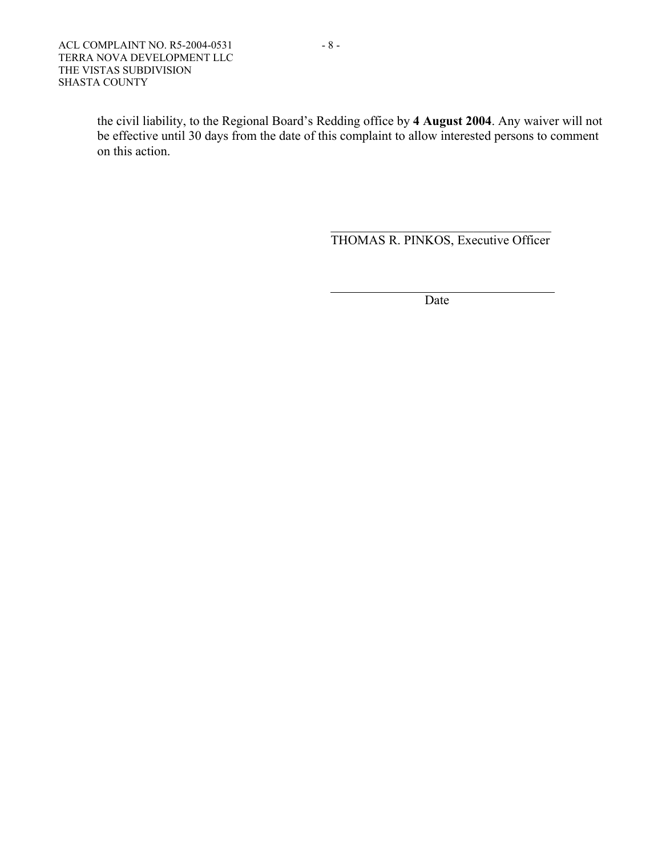the civil liability, to the Regional Board's Redding office by **4 August 2004**. Any waiver will not be effective until 30 days from the date of this complaint to allow interested persons to comment on this action.

THOMAS R. PINKOS, Executive Officer

**Date** and the Date

 $\mathcal{L}_\text{max}$  and  $\mathcal{L}_\text{max}$  and  $\mathcal{L}_\text{max}$  and  $\mathcal{L}_\text{max}$  and  $\mathcal{L}_\text{max}$  and  $\mathcal{L}_\text{max}$